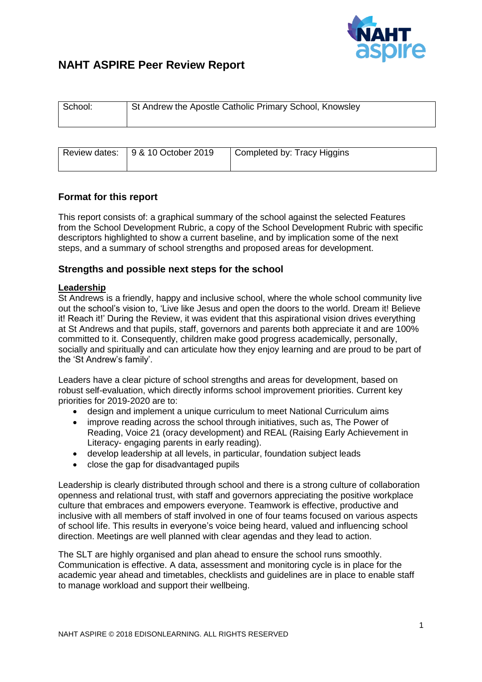

# **NAHT ASPIRE Peer Review Report**

| School: | St Andrew the Apostle Catholic Primary School, Knowsley |                             |  |
|---------|---------------------------------------------------------|-----------------------------|--|
|         |                                                         |                             |  |
|         | Review dates: 9 & 10 October 2019                       | Completed by: Tracy Higgins |  |

# **Format for this report**

This report consists of: a graphical summary of the school against the selected Features from the School Development Rubric, a copy of the School Development Rubric with specific descriptors highlighted to show a current baseline, and by implication some of the next steps, and a summary of school strengths and proposed areas for development.

# **Strengths and possible next steps for the school**

### **Leadership**

St Andrews is a friendly, happy and inclusive school, where the whole school community live out the school's vision to, 'Live like Jesus and open the doors to the world. Dream it! Believe it! Reach it!' During the Review, it was evident that this aspirational vision drives everything at St Andrews and that pupils, staff, governors and parents both appreciate it and are 100% committed to it. Consequently, children make good progress academically, personally, socially and spiritually and can articulate how they enjoy learning and are proud to be part of the 'St Andrew's family'.

Leaders have a clear picture of school strengths and areas for development, based on robust self-evaluation, which directly informs school improvement priorities. Current key priorities for 2019-2020 are to:

- design and implement a unique curriculum to meet National Curriculum aims
- improve reading across the school through initiatives, such as, The Power of Reading, Voice 21 (oracy development) and REAL (Raising Early Achievement in Literacy- engaging parents in early reading).
- develop leadership at all levels, in particular, foundation subject leads
- close the gap for disadvantaged pupils

Leadership is clearly distributed through school and there is a strong culture of collaboration openness and relational trust, with staff and governors appreciating the positive workplace culture that embraces and empowers everyone. Teamwork is effective, productive and inclusive with all members of staff involved in one of four teams focused on various aspects of school life. This results in everyone's voice being heard, valued and influencing school direction. Meetings are well planned with clear agendas and they lead to action.

The SLT are highly organised and plan ahead to ensure the school runs smoothly. Communication is effective. A data, assessment and monitoring cycle is in place for the academic year ahead and timetables, checklists and guidelines are in place to enable staff to manage workload and support their wellbeing.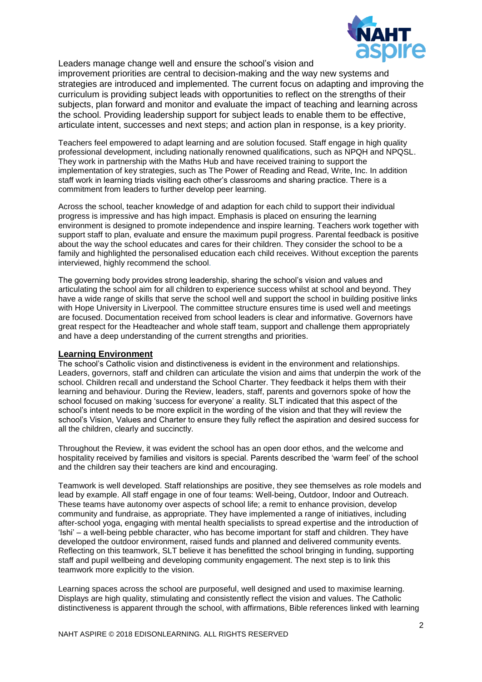

Leaders manage change well and ensure the school's vision and

improvement priorities are central to decision-making and the way new systems and strategies are introduced and implemented. The current focus on adapting and improving the curriculum is providing subject leads with opportunities to reflect on the strengths of their subjects, plan forward and monitor and evaluate the impact of teaching and learning across the school. Providing leadership support for subject leads to enable them to be effective, articulate intent, successes and next steps; and action plan in response, is a key priority.

Teachers feel empowered to adapt learning and are solution focused. Staff engage in high quality professional development, including nationally renowned qualifications, such as NPQH and NPQSL. They work in partnership with the Maths Hub and have received training to support the implementation of key strategies, such as The Power of Reading and Read, Write, Inc. In addition staff work in learning triads visiting each other's classrooms and sharing practice. There is a commitment from leaders to further develop peer learning.

Across the school, teacher knowledge of and adaption for each child to support their individual progress is impressive and has high impact. Emphasis is placed on ensuring the learning environment is designed to promote independence and inspire learning. Teachers work together with support staff to plan, evaluate and ensure the maximum pupil progress. Parental feedback is positive about the way the school educates and cares for their children. They consider the school to be a family and highlighted the personalised education each child receives. Without exception the parents interviewed, highly recommend the school.

The governing body provides strong leadership, sharing the school's vision and values and articulating the school aim for all children to experience success whilst at school and beyond. They have a wide range of skills that serve the school well and support the school in building positive links with Hope University in Liverpool. The committee structure ensures time is used well and meetings are focused. Documentation received from school leaders is clear and informative. Governors have great respect for the Headteacher and whole staff team, support and challenge them appropriately and have a deep understanding of the current strengths and priorities.

#### **Learning Environment**

The school's Catholic vision and distinctiveness is evident in the environment and relationships. Leaders, governors, staff and children can articulate the vision and aims that underpin the work of the school. Children recall and understand the School Charter. They feedback it helps them with their learning and behaviour. During the Review, leaders, staff, parents and governors spoke of how the school focused on making 'success for everyone' a reality. SLT indicated that this aspect of the school's intent needs to be more explicit in the wording of the vision and that they will review the school's Vision, Values and Charter to ensure they fully reflect the aspiration and desired success for all the children, clearly and succinctly.

Throughout the Review, it was evident the school has an open door ethos, and the welcome and hospitality received by families and visitors is special. Parents described the 'warm feel' of the school and the children say their teachers are kind and encouraging.

Teamwork is well developed. Staff relationships are positive, they see themselves as role models and lead by example. All staff engage in one of four teams: Well-being, Outdoor, Indoor and Outreach. These teams have autonomy over aspects of school life; a remit to enhance provision, develop community and fundraise, as appropriate. They have implemented a range of initiatives, including after-school yoga, engaging with mental health specialists to spread expertise and the introduction of 'Ishi' – a well-being pebble character, who has become important for staff and children. They have developed the outdoor environment, raised funds and planned and delivered community events. Reflecting on this teamwork, SLT believe it has benefitted the school bringing in funding, supporting staff and pupil wellbeing and developing community engagement. The next step is to link this teamwork more explicitly to the vision.

Learning spaces across the school are purposeful, well designed and used to maximise learning. Displays are high quality, stimulating and consistently reflect the vision and values. The Catholic distinctiveness is apparent through the school, with affirmations, Bible references linked with learning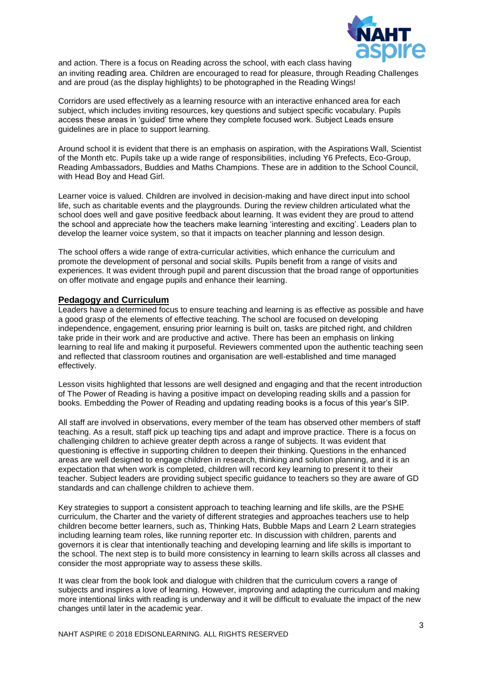

and action. There is a focus on Reading across the school, with each class having an inviting reading area. Children are encouraged to read for pleasure, through Reading Challenges and are proud (as the display highlights) to be photographed in the Reading Wings!

Corridors are used effectively as a learning resource with an interactive enhanced area for each subject, which includes inviting resources, key questions and subject specific vocabulary. Pupils access these areas in 'guided' time where they complete focused work. Subject Leads ensure guidelines are in place to support learning.

Around school it is evident that there is an emphasis on aspiration, with the Aspirations Wall, Scientist of the Month etc. Pupils take up a wide range of responsibilities, including Y6 Prefects, Eco-Group, Reading Ambassadors, Buddies and Maths Champions. These are in addition to the School Council, with Head Boy and Head Girl.

Learner voice is valued. Children are involved in decision-making and have direct input into school life, such as charitable events and the playgrounds. During the review children articulated what the school does well and gave positive feedback about learning. It was evident they are proud to attend the school and appreciate how the teachers make learning 'interesting and exciting'. Leaders plan to develop the learner voice system, so that it impacts on teacher planning and lesson design.

The school offers a wide range of extra-curricular activities, which enhance the curriculum and promote the development of personal and social skills. Pupils benefit from a range of visits and experiences. It was evident through pupil and parent discussion that the broad range of opportunities on offer motivate and engage pupils and enhance their learning.

#### **Pedagogy and Curriculum**

Leaders have a determined focus to ensure teaching and learning is as effective as possible and have a good grasp of the elements of effective teaching. The school are focused on developing independence, engagement, ensuring prior learning is built on, tasks are pitched right, and children take pride in their work and are productive and active. There has been an emphasis on linking learning to real life and making it purposeful. Reviewers commented upon the authentic teaching seen and reflected that classroom routines and organisation are well-established and time managed effectively.

Lesson visits highlighted that lessons are well designed and engaging and that the recent introduction of The Power of Reading is having a positive impact on developing reading skills and a passion for books. Embedding the Power of Reading and updating reading books is a focus of this year's SIP.

All staff are involved in observations, every member of the team has observed other members of staff teaching. As a result, staff pick up teaching tips and adapt and improve practice. There is a focus on challenging children to achieve greater depth across a range of subjects. It was evident that questioning is effective in supporting children to deepen their thinking. Questions in the enhanced areas are well designed to engage children in research, thinking and solution planning, and it is an expectation that when work is completed, children will record key learning to present it to their teacher. Subject leaders are providing subject specific guidance to teachers so they are aware of GD standards and can challenge children to achieve them.

Key strategies to support a consistent approach to teaching learning and life skills, are the PSHE curriculum, the Charter and the variety of different strategies and approaches teachers use to help children become better learners, such as, Thinking Hats, Bubble Maps and Learn 2 Learn strategies including learning team roles, like running reporter etc. In discussion with children, parents and governors it is clear that intentionally teaching and developing learning and life skills is important to the school. The next step is to build more consistency in learning to learn skills across all classes and consider the most appropriate way to assess these skills.

It was clear from the book look and dialogue with children that the curriculum covers a range of subjects and inspires a love of learning. However, improving and adapting the curriculum and making more intentional links with reading is underway and it will be difficult to evaluate the impact of the new changes until later in the academic year.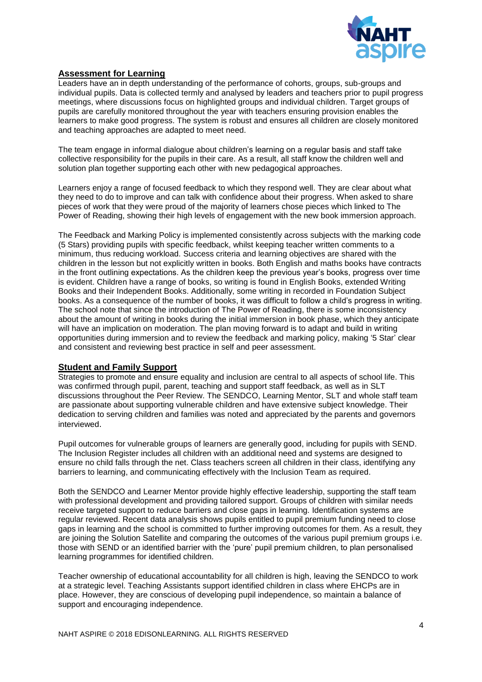

#### **Assessment for Learning**

Leaders have an in depth understanding of the performance of cohorts, groups, sub-groups and individual pupils. Data is collected termly and analysed by leaders and teachers prior to pupil progress meetings, where discussions focus on highlighted groups and individual children. Target groups of pupils are carefully monitored throughout the year with teachers ensuring provision enables the learners to make good progress. The system is robust and ensures all children are closely monitored and teaching approaches are adapted to meet need.

The team engage in informal dialogue about children's learning on a regular basis and staff take collective responsibility for the pupils in their care. As a result, all staff know the children well and solution plan together supporting each other with new pedagogical approaches.

Learners enjoy a range of focused feedback to which they respond well. They are clear about what they need to do to improve and can talk with confidence about their progress. When asked to share pieces of work that they were proud of the majority of learners chose pieces which linked to The Power of Reading, showing their high levels of engagement with the new book immersion approach.

The Feedback and Marking Policy is implemented consistently across subjects with the marking code (5 Stars) providing pupils with specific feedback, whilst keeping teacher written comments to a minimum, thus reducing workload. Success criteria and learning objectives are shared with the children in the lesson but not explicitly written in books. Both English and maths books have contracts in the front outlining expectations. As the children keep the previous year's books, progress over time is evident. Children have a range of books, so writing is found in English Books, extended Writing Books and their Independent Books. Additionally, some writing in recorded in Foundation Subject books. As a consequence of the number of books, it was difficult to follow a child's progress in writing. The school note that since the introduction of The Power of Reading, there is some inconsistency about the amount of writing in books during the initial immersion in book phase, which they anticipate will have an implication on moderation. The plan moving forward is to adapt and build in writing opportunities during immersion and to review the feedback and marking policy, making '5 Star' clear and consistent and reviewing best practice in self and peer assessment.

#### **Student and Family Support**

Strategies to promote and ensure equality and inclusion are central to all aspects of school life. This was confirmed through pupil, parent, teaching and support staff feedback, as well as in SLT discussions throughout the Peer Review. The SENDCO, Learning Mentor, SLT and whole staff team are passionate about supporting vulnerable children and have extensive subject knowledge. Their dedication to serving children and families was noted and appreciated by the parents and governors interviewed.

Pupil outcomes for vulnerable groups of learners are generally good, including for pupils with SEND. The Inclusion Register includes all children with an additional need and systems are designed to ensure no child falls through the net. Class teachers screen all children in their class, identifying any barriers to learning, and communicating effectively with the Inclusion Team as required.

Both the SENDCO and Learner Mentor provide highly effective leadership, supporting the staff team with professional development and providing tailored support. Groups of children with similar needs receive targeted support to reduce barriers and close gaps in learning. Identification systems are regular reviewed. Recent data analysis shows pupils entitled to pupil premium funding need to close gaps in learning and the school is committed to further improving outcomes for them. As a result, they are joining the Solution Satellite and comparing the outcomes of the various pupil premium groups i.e. those with SEND or an identified barrier with the 'pure' pupil premium children, to plan personalised learning programmes for identified children.

Teacher ownership of educational accountability for all children is high, leaving the SENDCO to work at a strategic level. Teaching Assistants support identified children in class where EHCPs are in place. However, they are conscious of developing pupil independence, so maintain a balance of support and encouraging independence.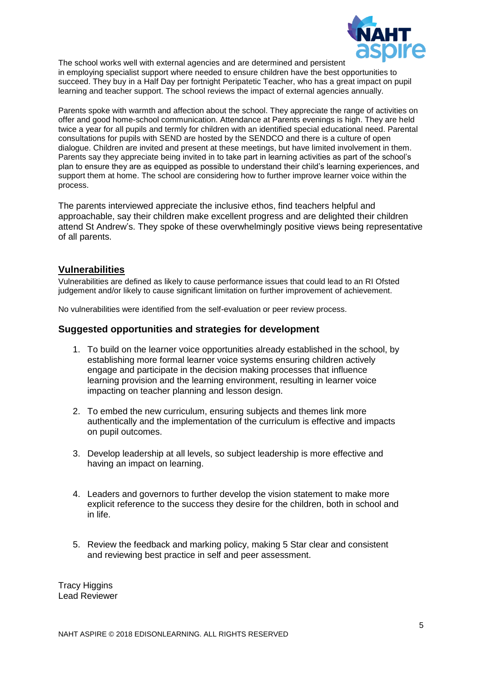

The school works well with external agencies and are determined and persistent in employing specialist support where needed to ensure children have the best opportunities to succeed. They buy in a Half Day per fortnight Peripatetic Teacher, who has a great impact on pupil learning and teacher support. The school reviews the impact of external agencies annually.

Parents spoke with warmth and affection about the school. They appreciate the range of activities on offer and good home-school communication. Attendance at Parents evenings is high. They are held twice a year for all pupils and termly for children with an identified special educational need. Parental consultations for pupils with SEND are hosted by the SENDCO and there is a culture of open dialogue. Children are invited and present at these meetings, but have limited involvement in them. Parents say they appreciate being invited in to take part in learning activities as part of the school's plan to ensure they are as equipped as possible to understand their child's learning experiences, and support them at home. The school are considering how to further improve learner voice within the process.

The parents interviewed appreciate the inclusive ethos, find teachers helpful and approachable, say their children make excellent progress and are delighted their children attend St Andrew's. They spoke of these overwhelmingly positive views being representative of all parents.

# **Vulnerabilities**

Vulnerabilities are defined as likely to cause performance issues that could lead to an RI Ofsted judgement and/or likely to cause significant limitation on further improvement of achievement.

No vulnerabilities were identified from the self-evaluation or peer review process.

### **Suggested opportunities and strategies for development**

- 1. To build on the learner voice opportunities already established in the school, by establishing more formal learner voice systems ensuring children actively engage and participate in the decision making processes that influence learning provision and the learning environment, resulting in learner voice impacting on teacher planning and lesson design.
- 2. To embed the new curriculum, ensuring subjects and themes link more authentically and the implementation of the curriculum is effective and impacts on pupil outcomes.
- 3. Develop leadership at all levels, so subject leadership is more effective and having an impact on learning.
- 4. Leaders and governors to further develop the vision statement to make more explicit reference to the success they desire for the children, both in school and in life.
- 5. Review the feedback and marking policy, making 5 Star clear and consistent and reviewing best practice in self and peer assessment.

**Tracy Higgins** Lead Reviewer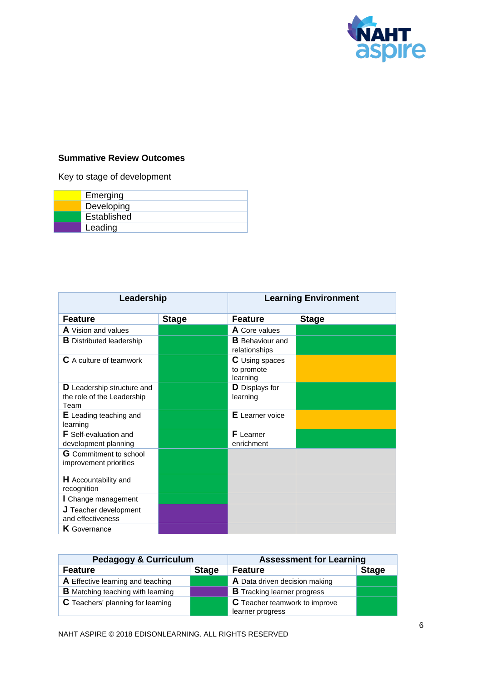

# **Summative Review Outcomes**

Key to stage of development

| Emerging    |
|-------------|
| Developing  |
| Established |
| Leading     |

| Leadership                                                              |              | <b>Learning Environment</b>                     |              |
|-------------------------------------------------------------------------|--------------|-------------------------------------------------|--------------|
| <b>Feature</b>                                                          | <b>Stage</b> | <b>Feature</b>                                  | <b>Stage</b> |
| <b>A</b> Vision and values                                              |              | <b>A</b> Core values                            |              |
| <b>B</b> Distributed leadership                                         |              | <b>B</b> Behaviour and<br>relationships         |              |
| <b>C</b> A culture of teamwork                                          |              | <b>C</b> Using spaces<br>to promote<br>learning |              |
| <b>D</b> Leadership structure and<br>the role of the Leadership<br>Team |              | D Displays for<br>learning                      |              |
| <b>E</b> Leading teaching and<br>learning                               |              | <b>E</b> Learner voice                          |              |
| <b>F</b> Self-evaluation and<br>development planning                    |              | <b>F</b> Learner<br>enrichment                  |              |
| <b>G</b> Commitment to school<br>improvement priorities                 |              |                                                 |              |
| <b>H</b> Accountability and<br>recognition                              |              |                                                 |              |
| I Change management                                                     |              |                                                 |              |
| $J$ Teacher development<br>and effectiveness                            |              |                                                 |              |
| K Governance                                                            |              |                                                 |              |

| <b>Pedagogy &amp; Curriculum</b>         |              | <b>Assessment for Learning</b>       |              |
|------------------------------------------|--------------|--------------------------------------|--------------|
| Feature                                  | <b>Stage</b> | <b>Feature</b>                       | <b>Stage</b> |
| A Effective learning and teaching        |              | A Data driven decision making        |              |
| <b>B</b> Matching teaching with learning |              | <b>B</b> Tracking learner progress   |              |
| C Teachers' planning for learning        |              | <b>C</b> Teacher teamwork to improve |              |
|                                          |              | learner progress                     |              |